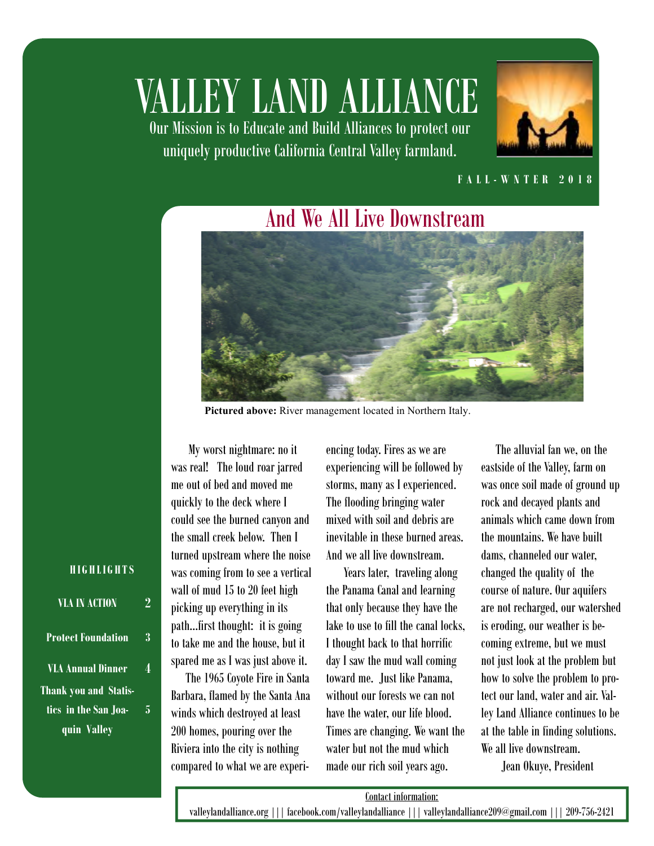# VALLEY LAND ALLIANCE

Our Mission is to Educate and Build Alliances to protect our uniquely productive California Central Valley farmland.



#### **F A L L - W N T E R 2 0 1 8**

### And We All Live Downstream



Pictured above: River management located in Northern Italy.

 My worst nightmare: no it was real! The loud roar jarred me out of bed and moved me quickly to the deck where I could see the burned canyon and the small creek below. Then I turned upstream where the noise was coming from to see a vertical wall of mud 15 to 20 feet high picking up everything in its path...first thought: it is going to take me and the house, but it spared me as I was just above it.

 The 1965 Coyote Fire in Santa Barbara, flamed by the Santa Ana winds which destroyed at least 200 homes, pouring over the Riviera into the city is nothing compared to what we are experiencing today. Fires as we are experiencing will be followed by storms, many as I experienced. The flooding bringing water mixed with soil and debris are inevitable in these burned areas. And we all live downstream.

 Years later, traveling along the Panama Canal and learning that only because they have the lake to use to fill the canal locks, I thought back to that horrific day I saw the mud wall coming toward me. Just like Panama, without our forests we can not have the water, our life blood. Times are changing. We want the water but not the mud which made our rich soil years ago.

 The alluvial fan we, on the eastside of the Valley, farm on was once soil made of ground up rock and decayed plants and animals which came down from the mountains. We have built dams, channeled our water, changed the quality of the course of nature. Our aquifers are not recharged, our watershed is eroding, our weather is becoming extreme, but we must not just look at the problem but how to solve the problem to protect our land, water and air. Valley Land Alliance continues to be at the table in finding solutions. We all live downstream.

Jean Okuye, President

#### **H I G H L I G H T S**

| <b>VLA IN ACTION</b>         |   |
|------------------------------|---|
| <b>Protect Foundation</b>    | 3 |
| VLA Annual Dinner            |   |
| <b>Thank you and Statis-</b> |   |
| tics  in the San Joa-        | 5 |
| quin Valley                  |   |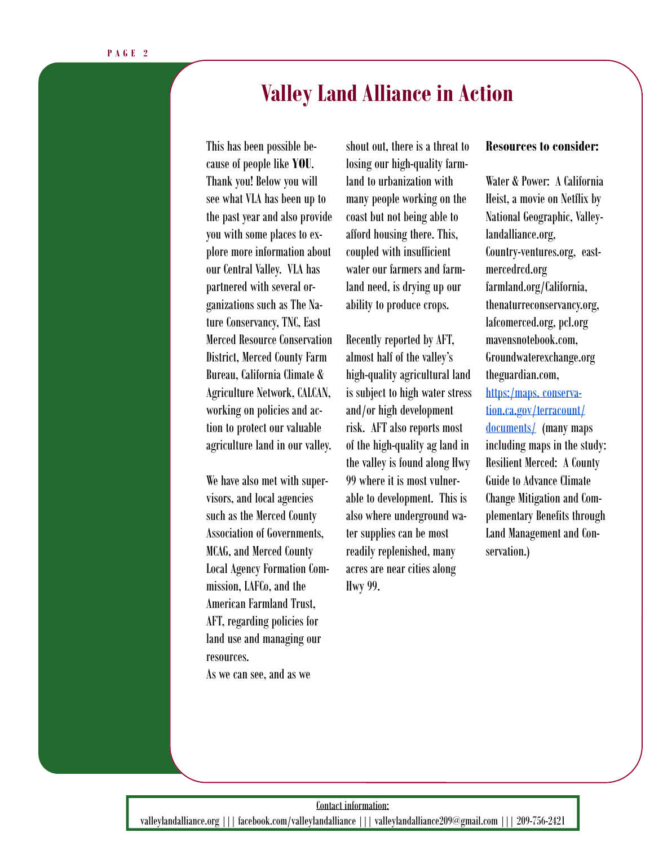### **Valley Land Alliance in Action**

Agriculture Network, CALCAN, is sul This has been possible because of people like **YOU**. Thank you! Below you will see what VLA has been up to the past year and also provide you with some places to explore more information about our Central Valley. VLA has partnered with several organizations such as The Nature Conservancy, TNC, East Merced Resource Conservation District, Merced County Farm Bureau, California Climate & working on policies and action to protect our valuable agriculture land in our valley.

We have also met with supervisors, and local agencies such as the Merced County Association of Governments, MCAG, and Merced County Local Agency Formation Commission, LAFCo, and the American Farmland Trust, AFT, regarding policies for land use and managing our resources.

As we can see, and as we

shout out, there is a threat to losing our high-quality farmland to urbanization with many people working on the coast but not being able to afford housing there. This, coupled with insufficient water our farmers and farmland need, is drying up our ability to produce crops.

Recently reported by AFT, almost half of the valley's high-quality agricultural land is subject to high water stress and/or high development risk. AFT also reports most of the high-quality ag land in the valley is found along Hwy 99 where it is most vulnerable to development. This is also where underground water supplies can be most readily replenished, many acres are near cities along Hwy 99.

#### **Resources to consider:**

Water & Power: A California Heist, a movie on Netflix by National Geographic, Valleylandalliance.org, Country-ventures.org, eastmercedrcd.org farmland.org/California, thenaturreconservancy.org, lafcomerced.org, pcl.org mavensnotebook.com, Groundwaterexchange.org theguardian.com, https:/maps. conservation.ca.gov/terracount/ documents/ (many maps including maps in the study: Resilient Merced: A County Guide to Advance Climate Change Mitigation and Complementary Benefits through Land Management and Conservation.)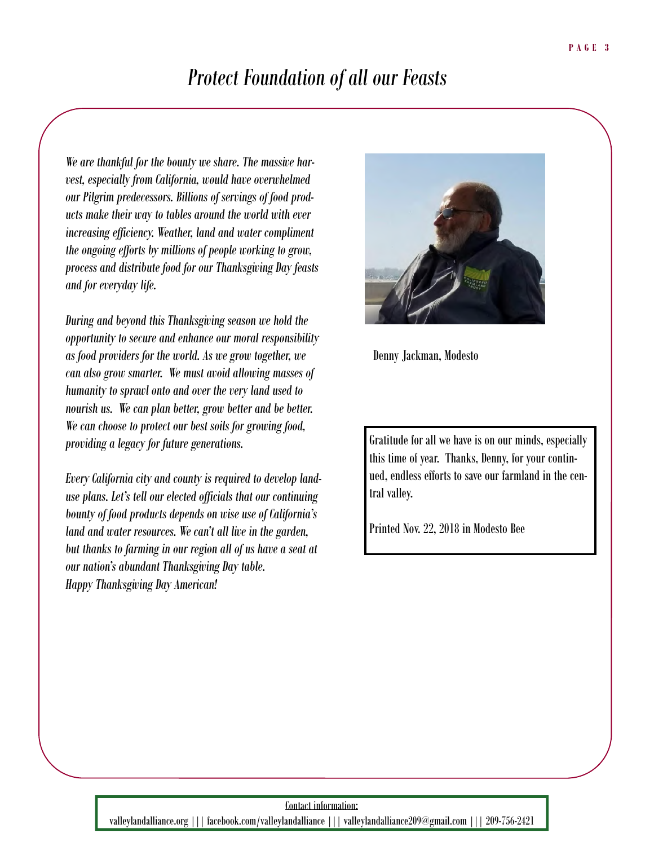### *Protect Foundation of all our Feasts*

*We are thankful for the bounty we share. The massive harvest, especially from California, would have overwhelmed our Pilgrim predecessors. Billions of servings of food products make their way to tables around the world with ever increasing efficiency. Weather, land and water compliment the ongoing efforts by millions of people working to grow, process and distribute food for our Thanksgiving Day feasts and for everyday life.* 

*During and beyond this Thanksgiving season we hold the opportunity to secure and enhance our moral responsibility as food providers for the world. As we grow together, we can also grow smarter. We must avoid allowing masses of humanity to sprawl onto and over the very land used to nourish us. We can plan better, grow better and be better. We can choose to protect our best soils for growing food, providing a legacy for future generations.* 

*Every California city and county is required to develop landuse plans. Let's tell our elected officials that our continuing bounty of food products depends on wise use of California's land and water resources. We can't all live in the garden, but thanks to farming in our region all of us have a seat at our nation's abundant Thanksgiving Day table. Happy Thanksgiving Day American!* 



Denny Jackman, Modesto

Gratitude for all we have is on our minds, especially this time of year. Thanks, Denny, for your continued, endless efforts to save our farmland in the central valley.

Printed Nov. 22, 2018 in Modesto Bee

#### Contact information:

valleylandalliance.org ||| facebook.com/valleylandalliance ||| valleylandalliance209@gmail.com ||| 209-756-2421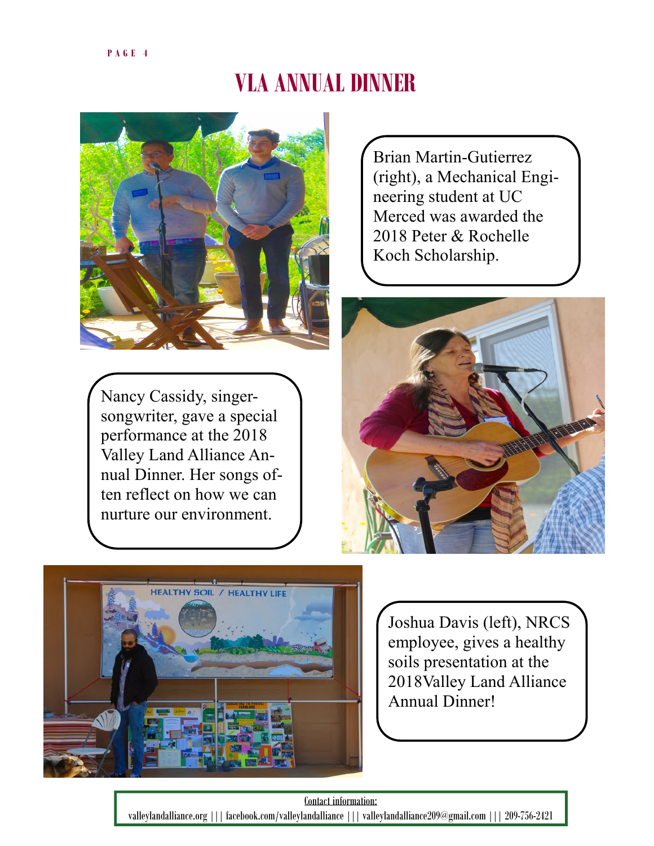# **VLA ANNUAL DINNER**



Nancy Cassidy, singersongwriter, gave a special performance at the 2018 Valley Land Alliance Annual Dinner. Her songs often reflect on how we can nurture our environment.

Brian Martin-Gutierrez (right), a Mechanical Engineering student at UC Merced was awarded the 2018 Peter & Rochelle Koch Scholarship.





Joshua Davis (left), NRCS employee, gives a healthy soils presentation at the 2018Valley Land Alliance Annual Dinner!

Contact information: valleylandalliance.org ||| facebook.com/valleylandalliance ||| valleylandalliance209@gmail.com ||| 209-756-2421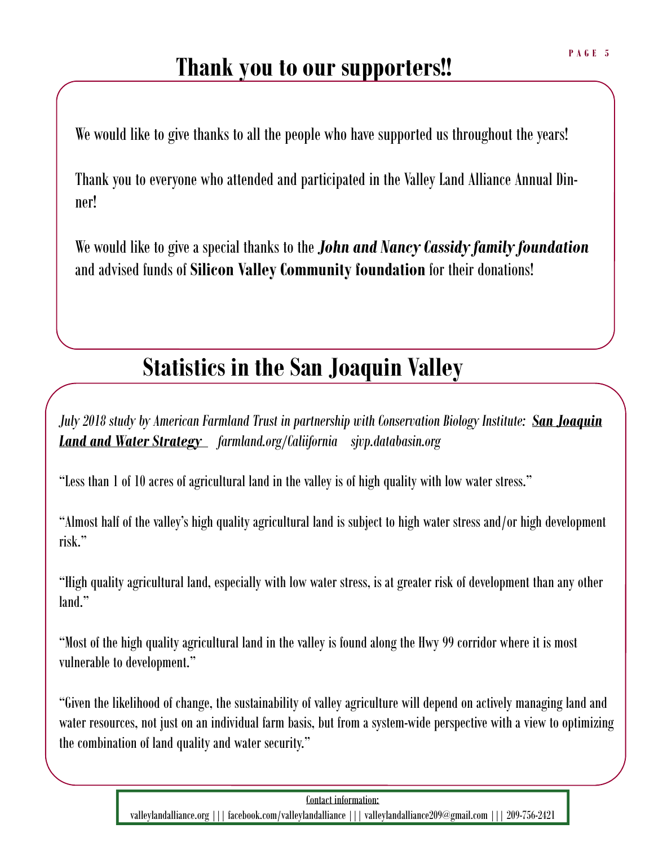### **Thank you to our supporters!!**

We would like to give thanks to all the people who have supported us throughout the years!

Thank you to everyone who attended and participated in the Valley Land Alliance Annual Dinner!

We would like to give a special thanks to the *John and Nancy Cassidy family foundation*  and advised funds of **Silicon Valley Community foundation** for their donations!

# **Statistics in the San Joaquin Valley**

*July 2018 study by American Farmland Trust in partnership with Conservation Biology Institute: San Joaquin Land and Water Strategy farmland.org/Caliifornia sjvp.databasin.org* 

"Less than 1 of 10 acres of agricultural land in the valley is of high quality with low water stress."

"Almost half of the valley's high quality agricultural land is subject to high water stress and/or high development risk."

"High quality agricultural land, especially with low water stress, is at greater risk of development than any other land."

"Most of the high quality agricultural land in the valley is found along the Hwy 99 corridor where it is most vulnerable to development."

"Given the likelihood of change, the sustainability of valley agriculture will depend on actively managing land and water resources, not just on an individual farm basis, but from a system-wide perspective with a view to optimizing the combination of land quality and water security."